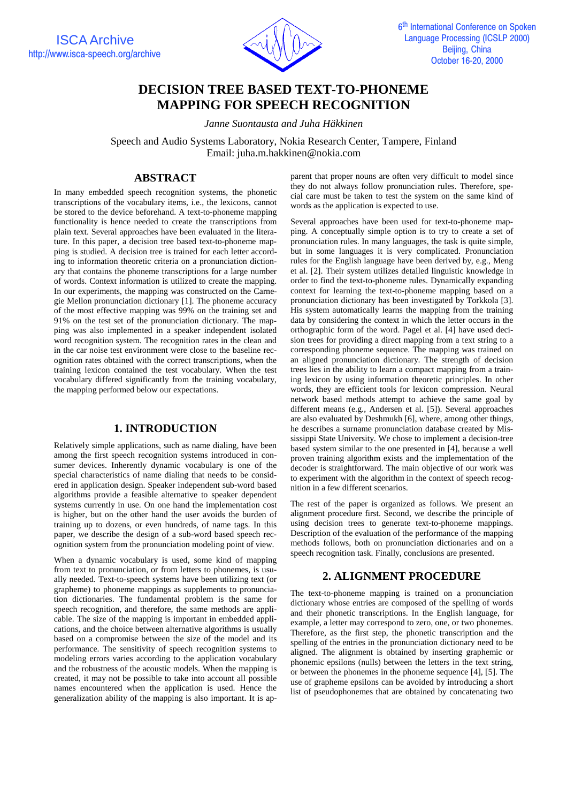ISCA Archive http://www.isca-speech.org/archive



# **DECISION TREE BASED TEXT-TO-PHONEME MAPPING FOR SPEECH RECOGNITION**

*Janne Suontausta and Juha Häkkinen*

Speech and Audio Systems Laboratory, Nokia Research Center, Tampere, Finland Email: juha.m.hakkinen@nokia.com

# **ABSTRACT**

In many embedded speech recognition systems, the phonetic transcriptions of the vocabulary items, i.e., the lexicons, cannot be stored to the device beforehand. A text-to-phoneme mapping functionality is hence needed to create the transcriptions from plain text. Several approaches have been evaluated in the literature. In this paper, a decision tree based text-to-phoneme mapping is studied. A decision tree is trained for each letter according to information theoretic criteria on a pronunciation dictionary that contains the phoneme transcriptions for a large number of words. Context information is utilized to create the mapping. In our experiments, the mapping was constructed on the Carnegie Mellon pronunciation dictionary [1]. The phoneme accuracy of the most effective mapping was 99% on the training set and 91% on the test set of the pronunciation dictionary. The mapping was also implemented in a speaker independent isolated word recognition system. The recognition rates in the clean and in the car noise test environment were close to the baseline recognition rates obtained with the correct transcriptions, when the training lexicon contained the test vocabulary. When the test vocabulary differed significantly from the training vocabulary, the mapping performed below our expectations.

#### **1. INTRODUCTION**

Relatively simple applications, such as name dialing, have been among the first speech recognition systems introduced in consumer devices. Inherently dynamic vocabulary is one of the special characteristics of name dialing that needs to be considered in application design. Speaker independent sub-word based algorithms provide a feasible alternative to speaker dependent systems currently in use. On one hand the implementation cost is higher, but on the other hand the user avoids the burden of training up to dozens, or even hundreds, of name tags. In this paper, we describe the design of a sub-word based speech recognition system from the pronunciation modeling point of view.

When a dynamic vocabulary is used, some kind of mapping from text to pronunciation, or from letters to phonemes, is usually needed. Text-to-speech systems have been utilizing text (or grapheme) to phoneme mappings as supplements to pronunciation dictionaries. The fundamental problem is the same for speech recognition, and therefore, the same methods are applicable. The size of the mapping is important in embedded applications, and the choice between alternative algorithms is usually based on a compromise between the size of the model and its performance. The sensitivity of speech recognition systems to modeling errors varies according to the application vocabulary and the robustness of the acoustic models. When the mapping is created, it may not be possible to take into account all possible names encountered when the application is used. Hence the generalization ability of the mapping is also important. It is ap-

parent that proper nouns are often very difficult to model since they do not always follow pronunciation rules. Therefore, special care must be taken to test the system on the same kind of words as the application is expected to use.

Several approaches have been used for text-to-phoneme mapping. A conceptually simple option is to try to create a set of pronunciation rules. In many languages, the task is quite simple, but in some languages it is very complicated. Pronunciation rules for the English language have been derived by, e.g., Meng et al. [2]. Their system utilizes detailed linguistic knowledge in order to find the text-to-phoneme rules. Dynamically expanding context for learning the text-to-phoneme mapping based on a pronunciation dictionary has been investigated by Torkkola [3]. His system automatically learns the mapping from the training data by considering the context in which the letter occurs in the orthographic form of the word. Pagel et al. [4] have used decision trees for providing a direct mapping from a text string to a corresponding phoneme sequence. The mapping was trained on an aligned pronunciation dictionary. The strength of decision trees lies in the ability to learn a compact mapping from a training lexicon by using information theoretic principles. In other words, they are efficient tools for lexicon compression. Neural network based methods attempt to achieve the same goal by different means (e.g., Andersen et al. [5]). Several approaches are also evaluated by Deshmukh [6], where, among other things, he describes a surname pronunciation database created by Mississippi State University. We chose to implement a decision-tree based system similar to the one presented in [4], because a well proven training algorithm exists and the implementation of the decoder is straightforward. The main objective of our work was to experiment with the algorithm in the context of speech recognition in a few different scenarios.

The rest of the paper is organized as follows. We present an alignment procedure first. Second, we describe the principle of using decision trees to generate text-to-phoneme mappings. Description of the evaluation of the performance of the mapping methods follows, both on pronunciation dictionaries and on a speech recognition task. Finally, conclusions are presented.

#### **2. ALIGNMENT PROCEDURE**

The text-to-phoneme mapping is trained on a pronunciation dictionary whose entries are composed of the spelling of words and their phonetic transcriptions. In the English language, for example, a letter may correspond to zero, one, or two phonemes. Therefore, as the first step, the phonetic transcription and the spelling of the entries in the pronunciation dictionary need to be aligned. The alignment is obtained by inserting graphemic or phonemic epsilons (nulls) between the letters in the text string, or between the phonemes in the phoneme sequence [4], [5]. The use of grapheme epsilons can be avoided by introducing a short list of pseudophonemes that are obtained by concatenating two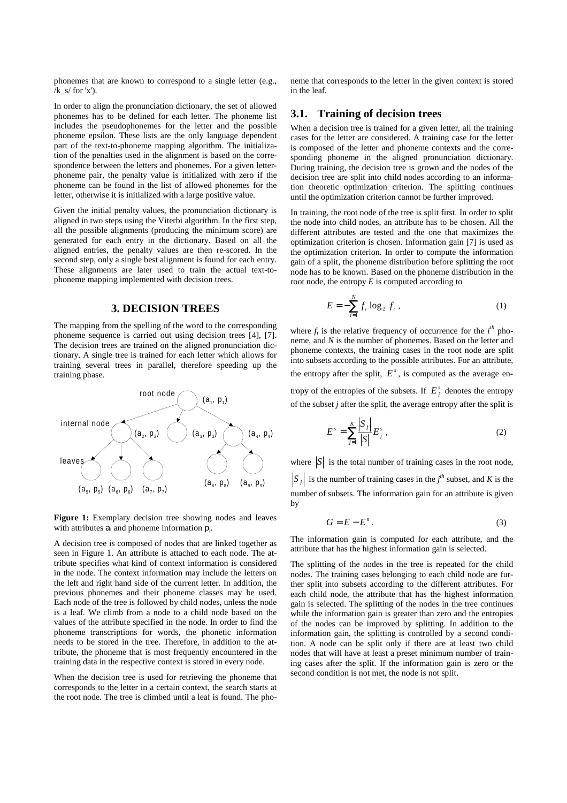phonemes that are known to correspond to a single letter (e.g.,  $/k$  s/ for 'x').

In order to align the pronunciation dictionary, the set of allowed phonemes has to be defined for each letter. The phoneme list includes the pseudophonemes for the letter and the possible phoneme epsilon. These lists are the only language dependent part of the text-to-phoneme mapping algorithm. The initialization of the penalties used in the alignment is based on the correspondence between the letters and phonemes. For a given letterphoneme pair, the penalty value is initialized with zero if the phoneme can be found in the list of allowed phonemes for the letter, otherwise it is initialized with a large positive value.

Given the initial penalty values, the pronunciation dictionary is aligned in two steps using the Viterbi algorithm. In the first step, all the possible alignments (producing the minimum score) are generated for each entry in the dictionary. Based on all the aligned entries, the penalty values are then re-scored. In the second step, only a single best alignment is found for each entry. These alignments are later used to train the actual text-tophoneme mapping implemented with decision trees.

#### **3. DECISION TREES**

The mapping from the spelling of the word to the corresponding phoneme sequence is carried out using decision trees [4], [7]. The decision trees are trained on the aligned pronunciation dictionary. A single tree is trained for each letter which allows for training several trees in parallel, therefore speeding up the training phase.



Figure 1: Exemplary decision tree showing nodes and leaves with attributes  $a_i$  and phoneme information  $p_i$ .

A decision tree is composed of nodes that are linked together as seen in Figure 1. An attribute is attached to each node. The attribute specifies what kind of context information is considered in the node. The context information may include the letters on the left and right hand side of the current letter. In addition, the previous phonemes and their phoneme classes may be used. Each node of the tree is followed by child nodes, unless the node is a leaf. We climb from a node to a child node based on the values of the attribute specified in the node. In order to find the phoneme transcriptions for words, the phonetic information needs to be stored in the tree. Therefore, in addition to the attribute, the phoneme that is most frequently encountered in the training data in the respective context is stored in every node.

When the decision tree is used for retrieving the phoneme that corresponds to the letter in a certain context, the search starts at the root node. The tree is climbed until a leaf is found. The pho-

neme that corresponds to the letter in the given context is stored in the leaf.

## **3.1. Training of decision trees**

When a decision tree is trained for a given letter, all the training cases for the letter are considered. A training case for the letter is composed of the letter and phoneme contexts and the corresponding phoneme in the aligned pronunciation dictionary. During training, the decision tree is grown and the nodes of the decision tree are split into child nodes according to an information theoretic optimization criterion. The splitting continues until the optimization criterion cannot be further improved.

In training, the root node of the tree is split first. In order to split the node into child nodes, an attribute has to be chosen. All the different attributes are tested and the one that maximizes the optimization criterion is chosen. Information gain [7] is used as the optimization criterion. In order to compute the information gain of a split, the phoneme distribution before splitting the root node has to be known. Based on the phoneme distribution in the root node, the entropy *E* is computed according to

$$
E = -\sum_{i=1}^{N} f_i \log_2 f_i , \qquad (1)
$$

where  $f_i$  is the relative frequency of occurrence for the  $i^{th}$  phoneme, and *N* is the number of phonemes. Based on the letter and phoneme contexts, the training cases in the root node are split into subsets according to the possible attributes. For an attribute, the entropy after the split,  $E^s$ , is computed as the average entropy of the entropies of the subsets. If  $E_i^s$  denotes the entropy of the subset *j* after the split, the average entropy after the split is

$$
E^{s} = \sum_{j=1}^{K} \frac{|S_{j}|}{|S|} E_{j}^{s} , \qquad (2)
$$

where  $|S|$  is the total number of training cases in the root node,  $S_j$  is the number of training cases in the *j*<sup>th</sup> subset, and *K* is the number of subsets. The information gain for an attribute is given by

$$
G = E - Es.
$$
 (3)

The information gain is computed for each attribute, and the attribute that has the highest information gain is selected.

The splitting of the nodes in the tree is repeated for the child nodes. The training cases belonging to each child node are further split into subsets according to the different attributes. For each child node, the attribute that has the highest information gain is selected. The splitting of the nodes in the tree continues while the information gain is greater than zero and the entropies of the nodes can be improved by splitting. In addition to the information gain, the splitting is controlled by a second condition. A node can be split only if there are at least two child nodes that will have at least a preset minimum number of training cases after the split. If the information gain is zero or the second condition is not met, the node is not split.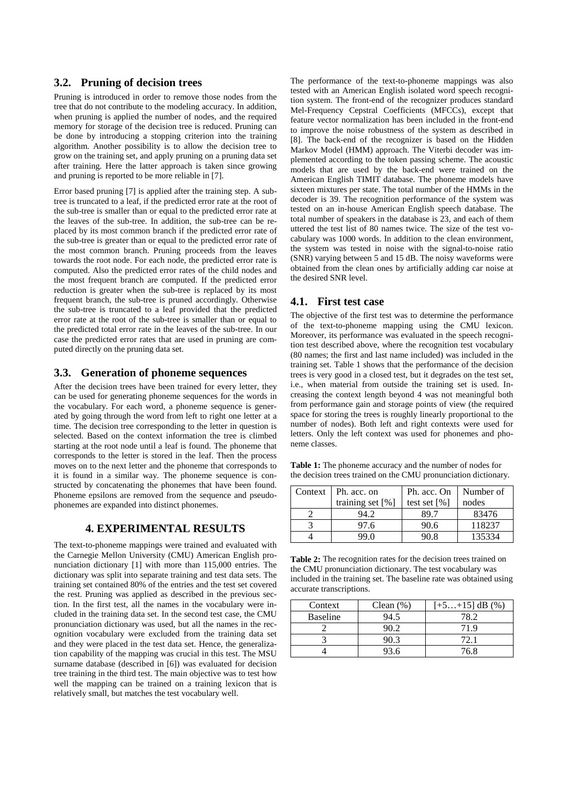## **3.2. Pruning of decision trees**

Pruning is introduced in order to remove those nodes from the tree that do not contribute to the modeling accuracy. In addition, when pruning is applied the number of nodes, and the required memory for storage of the decision tree is reduced. Pruning can be done by introducing a stopping criterion into the training algorithm. Another possibility is to allow the decision tree to grow on the training set, and apply pruning on a pruning data set after training. Here the latter approach is taken since growing and pruning is reported to be more reliable in [7].

Error based pruning [7] is applied after the training step. A subtree is truncated to a leaf, if the predicted error rate at the root of the sub-tree is smaller than or equal to the predicted error rate at the leaves of the sub-tree. In addition, the sub-tree can be replaced by its most common branch if the predicted error rate of the sub-tree is greater than or equal to the predicted error rate of the most common branch. Pruning proceeds from the leaves towards the root node. For each node, the predicted error rate is computed. Also the predicted error rates of the child nodes and the most frequent branch are computed. If the predicted error reduction is greater when the sub-tree is replaced by its most frequent branch, the sub-tree is pruned accordingly. Otherwise the sub-tree is truncated to a leaf provided that the predicted error rate at the root of the sub-tree is smaller than or equal to the predicted total error rate in the leaves of the sub-tree. In our case the predicted error rates that are used in pruning are computed directly on the pruning data set.

## **3.3. Generation of phoneme sequences**

After the decision trees have been trained for every letter, they can be used for generating phoneme sequences for the words in the vocabulary. For each word, a phoneme sequence is generated by going through the word from left to right one letter at a time. The decision tree corresponding to the letter in question is selected. Based on the context information the tree is climbed starting at the root node until a leaf is found. The phoneme that corresponds to the letter is stored in the leaf. Then the process moves on to the next letter and the phoneme that corresponds to it is found in a similar way. The phoneme sequence is constructed by concatenating the phonemes that have been found. Phoneme epsilons are removed from the sequence and pseudophonemes are expanded into distinct phonemes.

## **4. EXPERIMENTAL RESULTS**

The text-to-phoneme mappings were trained and evaluated with the Carnegie Mellon University (CMU) American English pronunciation dictionary [1] with more than 115,000 entries. The dictionary was split into separate training and test data sets. The training set contained 80% of the entries and the test set covered the rest. Pruning was applied as described in the previous section. In the first test, all the names in the vocabulary were included in the training data set. In the second test case, the CMU pronunciation dictionary was used, but all the names in the recognition vocabulary were excluded from the training data set and they were placed in the test data set. Hence, the generalization capability of the mapping was crucial in this test. The MSU surname database (described in [6]) was evaluated for decision tree training in the third test. The main objective was to test how well the mapping can be trained on a training lexicon that is relatively small, but matches the test vocabulary well.

The performance of the text-to-phoneme mappings was also tested with an American English isolated word speech recognition system. The front-end of the recognizer produces standard Mel-Frequency Cepstral Coefficients (MFCCs), except that feature vector normalization has been included in the front-end to improve the noise robustness of the system as described in [8]. The back-end of the recognizer is based on the Hidden Markov Model (HMM) approach. The Viterbi decoder was implemented according to the token passing scheme. The acoustic models that are used by the back-end were trained on the American English TIMIT database. The phoneme models have sixteen mixtures per state. The total number of the HMMs in the decoder is 39. The recognition performance of the system was tested on an in-house American English speech database. The total number of speakers in the database is 23, and each of them uttered the test list of 80 names twice. The size of the test vocabulary was 1000 words. In addition to the clean environment, the system was tested in noise with the signal-to-noise ratio (SNR) varying between 5 and 15 dB. The noisy waveforms were obtained from the clean ones by artificially adding car noise at the desired SNR level.

## **4.1. First test case**

The objective of the first test was to determine the performance of the text-to-phoneme mapping using the CMU lexicon. Moreover, its performance was evaluated in the speech recognition test described above, where the recognition test vocabulary (80 names; the first and last name included) was included in the training set. Table 1 shows that the performance of the decision trees is very good in a closed test, but it degrades on the test set, i.e., when material from outside the training set is used. Increasing the context length beyond 4 was not meaningful both from performance gain and storage points of view (the required space for storing the trees is roughly linearly proportional to the number of nodes). Both left and right contexts were used for letters. Only the left context was used for phonemes and phoneme classes.

Table 1: The phoneme accuracy and the number of nodes for the decision trees trained on the CMU pronunciation dictionary.

| Context | Ph. acc. on        | Ph. acc. On    | Number of |
|---------|--------------------|----------------|-----------|
|         | training set $[%]$ | test set $[%]$ | nodes     |
|         | 94.2               | 89.7           | 83476     |
|         | 97.6               | 90.6           | 118237    |
|         | 99 N               | እህ 8           | 135334    |

**Table 2:** The recognition rates for the decision trees trained on the CMU pronunciation dictionary. The test vocabulary was included in the training set. The baseline rate was obtained using accurate transcriptions.

| Context         | Clean $(\%)$ | $[-5+15]$ dB $(\%)$ |
|-----------------|--------------|---------------------|
| <b>Baseline</b> | 94.5         | 78.2                |
|                 | 90.2         | 71 9                |
|                 | 90.3         | 72.1                |
|                 | 93.6         | 76.8                |